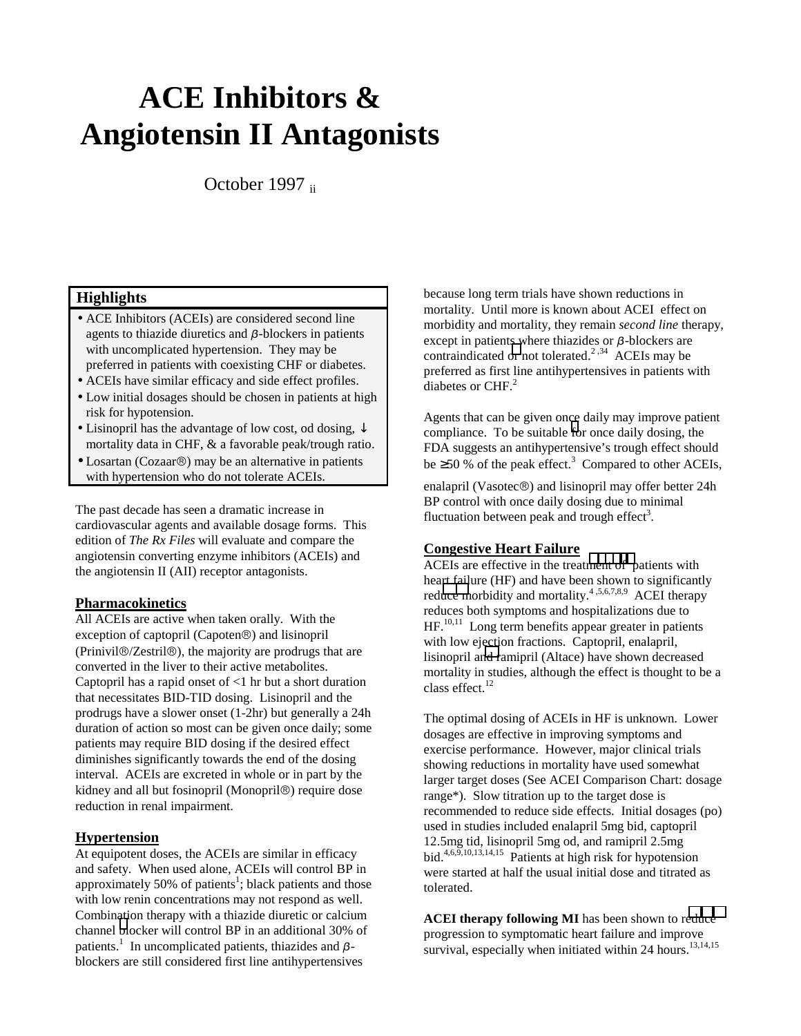# **ACE Inhibitors & Angiotensin II Antagonists**

October 1997 ii

## **Highlights**

- ACE Inhibitors (ACEIs) are considered second line agents to thiazide diuretics and  $\beta$ -blockers in patients with uncomplicated hypertension. They may be preferred in patients with coexisting CHF or diabetes.
- ACEIs have similar efficacy and side effect profiles.
- Low initial dosages should be chosen in patients at high risk for hypotension.
- Lisinopril has the advantage of low cost, od dosing,  $\downarrow$ mortality data in CHF, & a favorable peak/trough ratio.
- $\bullet$  Losartan (Cozaar<sup>®</sup>) may be an alternative in patients with hypertension who do not tolerate ACEIs.

The past decade has seen a dramatic increase in cardiovascular agents and available dosage forms. This edition of *The Rx Files* will evaluate and compare the angiotensin converting enzyme inhibitors (ACEIs) and the angiotensin II (AII) receptor antagonists.

#### **Pharmacokinetics**

All ACEIs are active when taken orally. With the exception of captopril (Capoten®) and lisinopril  $(Prinivil@/Zestri@)$ , the majority are prodrugs that are converted in the liver to their active metabolites. Captopril has a rapid onset of  $\leq 1$  hr but a short duration that necessitates BID-TID dosing. Lisinopril and the prodrugs have a slower onset (1-2hr) but generally a 24h duration of action so most can be given once daily; some patients may require BID dosing if the desired effect diminishes significantly towards the end of the dosing interval. ACEIs are excreted in whole or in part by the kidney and all but fosinopril (Monopril<sup>®</sup>) require dose reduction in renal impairment.

#### **Hypertension**

At equipotent doses, the ACEIs are similar in efficacy and safety. When used alone, ACEIs will control BP in approximately 50% of patients<sup>1</sup>; black patients and those with low renin concentrations may not respond as well. Combination therapy with a thiazide diuretic or calcium channel [bl](#page-3-0)ocker will control BP in an additional 30% of patients.<sup>1</sup> In uncomplicated patients, thiazides and  $\beta$ blockers are still considered first line antihypertensives

because long term trials have shown reductions in mortality. Until more is known about ACEI effect on morbidity and mortality, they remain *second line* therapy, except in patients where thiazides or  $\beta$ -blockers are contraindicated [or](#page-3-0) not tolerated.<sup>2,34</sup> ACEIs may be preferred as first line antihypertensives in patients with diabetes or CHF.<sup>2</sup>

Agents that can be given once daily may improve patient compliance. To be suitable [fo](#page-3-0)r once daily dosing, the FDA suggests an antihypertensive's trough effect should be  $\geq 50$  % of the peak effect.<sup>3</sup> Compared to other ACEIs,

enalapril (Vasotec $\circledR$ ) and lisinopril may offer better 24h BP control with once daily dosing due to minimal fluctuation between peak and trough effect<sup>3</sup>.

#### **Congestive Heart Failure**

ACEIs are effective in the treat[ment of p](#page-3-0)atients with heart failure (HF) and have been shown to significantly red[uce m](#page-3-0)orbidity and mortality.<sup>4,5,6,7,8,9</sup> ACEI therapy reduces both symptoms and hospitalizations due to HF.<sup>10,11</sup> Long term benefits appear greater in patients with low ejection fractions. Captopril, enalapril, lisinopril a[nd r](#page-3-0)amipril (Altace) have shown decreased mortality in studies, although the effect is thought to be a class effect. $^{12}$ 

The optimal dosing of ACEIs in HF is unknown. Lower dosages are effective in improving symptoms and exercise performance. However, major clinical trials showing reductions in mortality have used somewhat larger target doses (See ACEI Comparison Chart: dosage range\*). Slow titration up to the target dose is recommended to reduce side effects. Initial dosages (po) used in studies included enalapril 5mg bid, captopril 12.5mg tid, lisinopril 5mg od, and ramipril 2.5mg bid.<sup>4,6,9,10,13,14,15</sup> Patients at high risk for hypotension were started at half the usual initial dose and titrated as tolerated.

**ACEI therapy following MI** has been shown to r[educe](#page-3-0) progression to symptomatic heart failure and improve survival, especially when initiated within 24 hours.<sup>13,14,15</sup>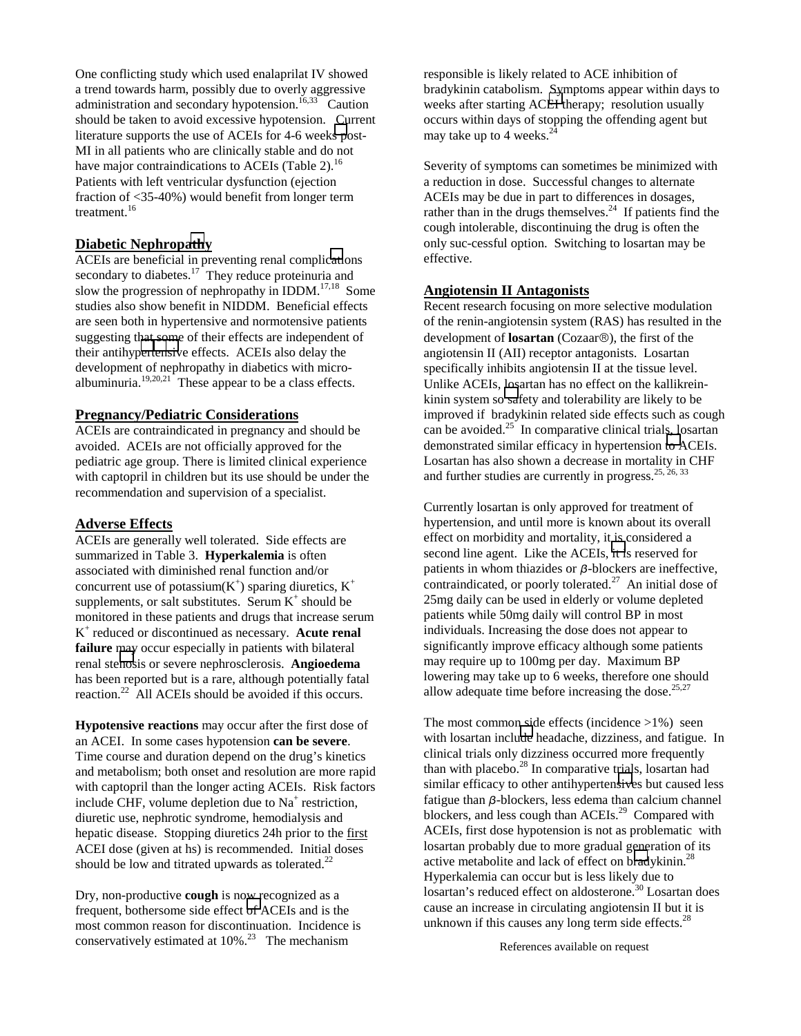One conflicting study which used enalaprilat IV showed a trend towards harm, possibly due to overly aggressive administration and secondary hypotension.<sup>16,33</sup> Caution should be taken to avoid excessive hypotension. Current literature supports the use of ACEIs for 4-6 week[s p](#page-3-0)ost-MI in all patients who are clinically stable and do not have major contraindications to ACEIs (Table 2).<sup>16</sup> Patients with left ventricular dysfunction (ejection fraction of <35-40%) would benefit from longer term treatment.<sup>16</sup>

#### **Diabetic Nephrop[ath](#page-3-0)y**

ACEIs are beneficial in preventing renal compli[cati](#page-3-0)ons secondary to diabetes.<sup>17</sup> They reduce proteinuria and slow the progression of nephropathy in  $IDDM<sup>17,18</sup>$  Some studies also show benefit in NIDDM. Beneficial effects are seen both in hypertensive and normotensive patients suggesting that some of their effects are independent of their antihy[pertensiv](#page-3-0)e effects. ACEIs also delay the development of nephropathy in diabetics with microalbuminuria.<sup>19,20,21</sup> These appear to be a class effects.

# **Pregnancy/Pediatric Considerations**

ACEIs are contraindicated in pregnancy and should be avoided. ACEIs are not officially approved for the pediatric age group. There is limited clinical experience with captopril in children but its use should be under the recommendation and supervision of a specialist.

#### **Adverse Effects**

ACEIs are generally well tolerated. Side effects are summarized in Table 3. **Hyperkalemia** is often associated with diminished renal function and/or concurrent use of potassium( $K^+$ ) sparing diuretics,  $K^+$ supplements, or salt substitutes. Serum  $K^+$  should be monitored in these patients and drugs that increase serum K+ reduced or discontinued as necessary. **Acute renal failure** may occur especially in patients with bilateral renal ste[nos](#page-3-0)is or severe nephrosclerosis. **Angioedema** has been reported but is a rare, although potentially fatal reaction.<sup>22</sup> All ACEIs should be avoided if this occurs.

**Hypotensive reactions** may occur after the first dose of an ACEI. In some cases hypotension **can be severe**. Time course and duration depend on the drug's kinetics and metabolism; both onset and resolution are more rapid with captopril than the longer acting ACEIs. Risk factors include CHF, volume depletion due to Na<sup>+</sup> restriction, diuretic use, nephrotic syndrome, hemodialysis and hepatic disease. Stopping diuretics 24h prior to the first ACEI dose (given at hs) is recommended. Initial doses should be low and titrated upwards as tolerated.<sup>22</sup>

Dry, non-productive **cough** is now recognized as a frequent, bothersome side effect [of](#page-3-0) ACEIs and is the most common reason for discontinuation. Incidence is conservatively estimated at  $10\%$ .<sup>23</sup> The mechanism

responsible is likely related to ACE inhibition of bradykinin catabolism. Symptoms appear within days to weeks after starting AC[EI t](#page-3-0)herapy; resolution usually occurs within days of stopping the offending agent but may take up to 4 weeks. $\frac{3}{4}$ 

Severity of symptoms can sometimes be minimized with a reduction in dose. Successful changes to alternate ACEIs may be due in part to differences in dosages, rather than in the drugs themselves. $^{24}$  If patients find the cough intolerable, discontinuing the drug is often the only suc-cessful option. Switching to losartan may be effective.

#### **Angiotensin II Antagonists**

Recent research focusing on more selective modulation of the renin-angiotensin system (RAS) has resulted in the development of **losartan** (Cozaar<sup>®</sup>), the first of the angiotensin II (AII) receptor antagonists. Losartan specifically inhibits angiotensin II at the tissue level. Unlike ACEIs, losartan has no effect on the kallikreinkinin system so [sa](#page-3-0)fety and tolerability are likely to be improved if bradykinin related side effects such as cough can be avoided. $25$  In comparative clinical trials, losartan demonstrated similar efficacy in hypertension [to A](#page-3-0)CEIs. Losartan has also shown a decrease in mortality in CHF and further studies are currently in progress.  $25, 26, 33$ 

Currently losartan is only approved for treatment of hypertension, and until more is known about its overall effect on morbidity and mortality, it is considered a second line agent. Like the ACEIs, [it i](#page-3-0)s reserved for patients in whom thiazides or  $\beta$ -blockers are ineffective, contraindicated, or poorly tolerated.<sup>27</sup> An initial dose of 25mg daily can be used in elderly or volume depleted patients while 50mg daily will control BP in most individuals. Increasing the dose does not appear to significantly improve efficacy although some patients may require up to 100mg per day. Maximum BP lowering may take up to 6 weeks, therefore one should allow adequate time before increasing the dose.<sup>25,27</sup>

The most common side effects (incidence  $>1\%$ ) seen with losartan incl[ude](#page-3-0) headache, dizziness, and fatigue. In clinical trials only dizziness occurred more frequently than with placebo.<sup>28</sup> In comparative trials, losartan had similar efficacy to other antihyperten[sive](#page-3-0)s but caused less fatigue than  $\beta$ -blockers, less edema than calcium channel blockers, and less cough than ACEIs.<sup>29</sup> Compared with ACEIs, first dose hypotension is not as problematic with losartan probably due to more gradual generation of its active metabolite and lack of effect on b[rad](#page-3-0)ykinin.<sup>28</sup> Hyperkalemia can occur but is less likely due to losartan's reduced effect on aldosterone.<sup>30</sup> Losartan does cause an increase in circulating angiotensin II but it is unknown if this causes any long term side effects. $^{28}$ 

References available on request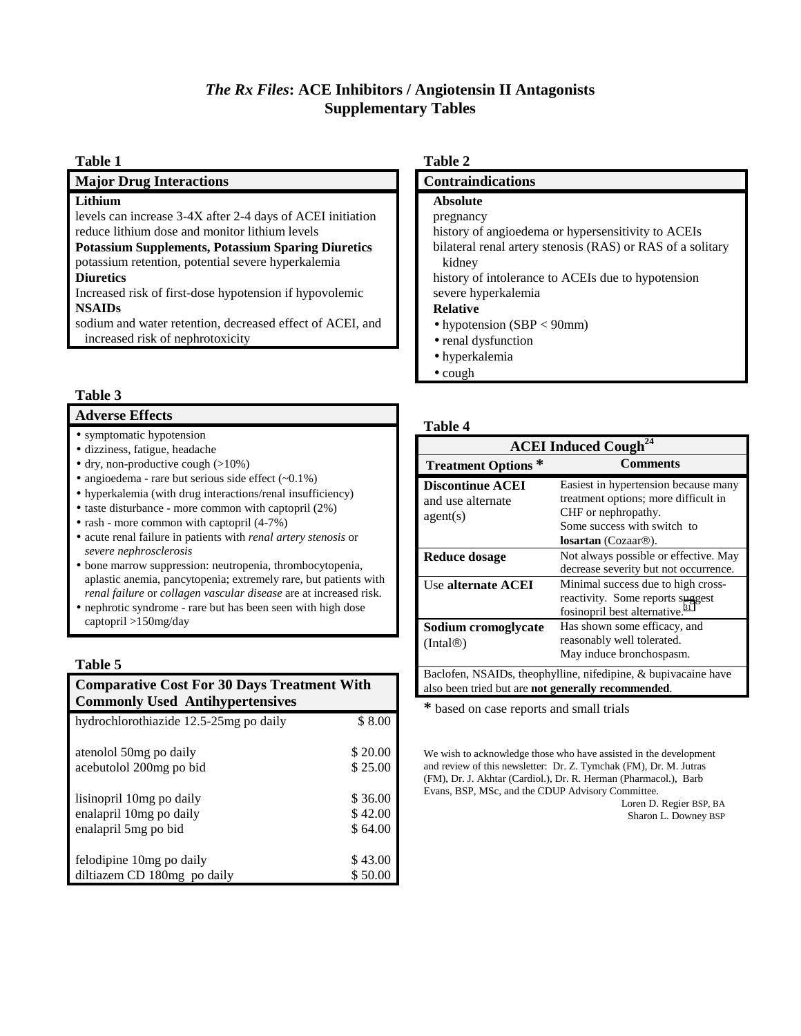# *The Rx Files***: ACE Inhibitors / Angiotensin II Antagonists Supplementary Tables**

#### **Table 1**

**Major Drug Interactions**

#### **Lithium**

levels can increase 3-4X after 2-4 days of ACEI initiation reduce lithium dose and monitor lithium levels

**Potassium Supplements, Potassium Sparing Diuretics** potassium retention, potential severe hyperkalemia

#### **Diuretics**

Increased risk of first-dose hypotension if hypovolemic **NSAIDs**

sodium and water retention, decreased effect of ACEI, and increased risk of nephrotoxicity

#### **Table 3**

#### **Adverse Effects**

- symptomatic hypotension
- dizziness, fatigue, headache
- dry, non-productive cough (>10%)
- angioedema rare but serious side effect  $(\sim 0.1\%)$
- hyperkalemia (with drug interactions/renal insufficiency)
- taste disturbance more common with captopril (2%)
- rash more common with captopril (4-7%)
- acute renal failure in patients with *renal artery stenosis* or *severe nephrosclerosis*
- bone marrow suppression: neutropenia, thrombocytopenia, aplastic anemia, pancytopenia; extremely rare, but patients with *renal failure* or *collagen vascular disease* are at increased risk.
- nephrotic syndrome rare but has been seen with high dose captopril >150mg/day

#### **Table 5**

#### **Comparative Cost For 30 Days Treatment With Commonly Used Antihypertensives** hydrochlorothiazide 12.5-25mg po daily \$ 8.00

| atenolol 50 mg po daily     | \$20.00 |
|-----------------------------|---------|
| acebutolol 200mg po bid     | \$25.00 |
| lisinopril 10mg po daily    | \$36.00 |
| enalapril 10mg po daily     | \$42.00 |
| enalapril 5mg po bid        | \$64.00 |
| felodipine 10mg po daily    | \$43.00 |
| diltiazem CD 180mg po daily | \$50.00 |

#### **Table 2**

#### **Contraindications**

#### **Absolute**

pregnancy

history of angioedema or hypersensitivity to ACEIs

bilateral renal artery stenosis (RAS) or RAS of a solitary kidney

history of intolerance to ACEIs due to hypotension severe hyperkalemia

### **Relative**

- hypotension (SBP < 90mm)
- renal dysfunction
- hyperkalemia
- cough

#### **Table 4**

| <b>ACEI</b> Induced Cough <sup>24</sup>                                                                              |                                                                                                                                                                  |  |
|----------------------------------------------------------------------------------------------------------------------|------------------------------------------------------------------------------------------------------------------------------------------------------------------|--|
| <b>Treatment Options*</b>                                                                                            | <b>Comments</b>                                                                                                                                                  |  |
| <b>Discontinue ACEI</b><br>and use alternate<br>agent(s)                                                             | Easiest in hypertension because many<br>treatment options; more difficult in<br>CHF or nephropathy.<br>Some success with switch to<br><b>losartan</b> (Cozaar®). |  |
| <b>Reduce dosage</b>                                                                                                 | Not always possible or effective. May<br>decrease severity but not occurrence.                                                                                   |  |
| Use alternate ACEI                                                                                                   | Minimal success due to high cross-<br>reactivity. Some reports suggest<br>fosinopril best alternative. <sup>31</sup>                                             |  |
| Sodium cromoglycate<br>(Inta@)                                                                                       | Has shown some efficacy, and<br>reasonably well tolerated.<br>May induce bronchospasm.                                                                           |  |
| Baclofen, NSAIDs, theophylline, nifedipine, & bupivacaine have<br>also been tried but are not generally recommended. |                                                                                                                                                                  |  |

**\*** based on case reports and small trials

We wish to acknowledge those who have assisted in the development and review of this newsletter: Dr. Z. Tymchak (FM), Dr. M. Jutras (FM), Dr. J. Akhtar (Cardiol.), Dr. R. Herman (Pharmacol.), Barb Evans, BSP, MSc, and the CDUP Advisory Committee.

Loren D. Regier BSP, BA Sharon L. Downey BSP